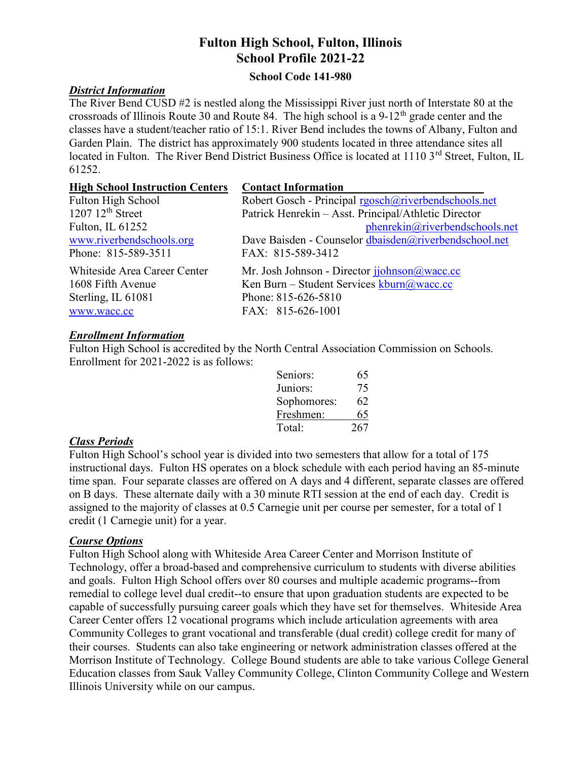# Fulton High School, Fulton, Illinois School Profile 2021-22

### School Code 141-980

# District Information

The River Bend CUSD #2 is nestled along the Mississippi River just north of Interstate 80 at the crossroads of Illinois Route 30 and Route 84. The high school is a  $9-12<sup>th</sup>$  grade center and the classes have a student/teacher ratio of 15:1. River Bend includes the towns of Albany, Fulton and Garden Plain. The district has approximately 900 students located in three attendance sites all located in Fulton. The River Bend District Business Office is located at 1110 3<sup>rd</sup> Street, Fulton, IL 61252.

| <b>High School Instruction Centers</b> | <b>Contact Information</b>                                                         |
|----------------------------------------|------------------------------------------------------------------------------------|
| Fulton High School                     | Robert Gosch - Principal rgosch@riverbendschools.net                               |
| $1207\;12^{\text{th}}$ Street          | Patrick Henrekin - Asst. Principal/Athletic Director                               |
| Fulton, IL 61252                       | phenrekin@riverbendschools.net                                                     |
| www.riverbendschools.org               | Dave Baisden - Counselor dbaisden@riverbendschool.net                              |
| Phone: 815-589-3511                    | FAX: 815-589-3412                                                                  |
| Whiteside Area Career Center           | Mr. Josh Johnson - Director johnson@wacc.cc                                        |
| 1608 Fifth Avenue                      | Ken Burn – Student Services $\frac{\text{kburn}(a)}{a\text{wacc} \cdot \text{cc}}$ |
| Sterling, IL 61081                     | Phone: 815-626-5810                                                                |
| www.wacc.cc                            | FAX: 815-626-1001                                                                  |

### Enrollment Information

Fulton High School is accredited by the North Central Association Commission on Schools. Enrollment for 2021-2022 is as follows:

| Seniors:    | 65  |
|-------------|-----|
| Juniors:    | 75  |
| Sophomores: | 62  |
| Freshmen:   | 65  |
| Total:      | 267 |

# Class Periods

Fulton High School's school year is divided into two semesters that allow for a total of 175 instructional days. Fulton HS operates on a block schedule with each period having an 85-minute time span. Four separate classes are offered on A days and 4 different, separate classes are offered on B days. These alternate daily with a 30 minute RTI session at the end of each day. Credit is assigned to the majority of classes at 0.5 Carnegie unit per course per semester, for a total of 1 credit (1 Carnegie unit) for a year.

#### Course Options

Fulton High School along with Whiteside Area Career Center and Morrison Institute of Technology, offer a broad-based and comprehensive curriculum to students with diverse abilities and goals. Fulton High School offers over 80 courses and multiple academic programs--from remedial to college level dual credit--to ensure that upon graduation students are expected to be capable of successfully pursuing career goals which they have set for themselves. Whiteside Area Career Center offers 12 vocational programs which include articulation agreements with area Community Colleges to grant vocational and transferable (dual credit) college credit for many of their courses. Students can also take engineering or network administration classes offered at the Morrison Institute of Technology. College Bound students are able to take various College General Education classes from Sauk Valley Community College, Clinton Community College and Western Illinois University while on our campus.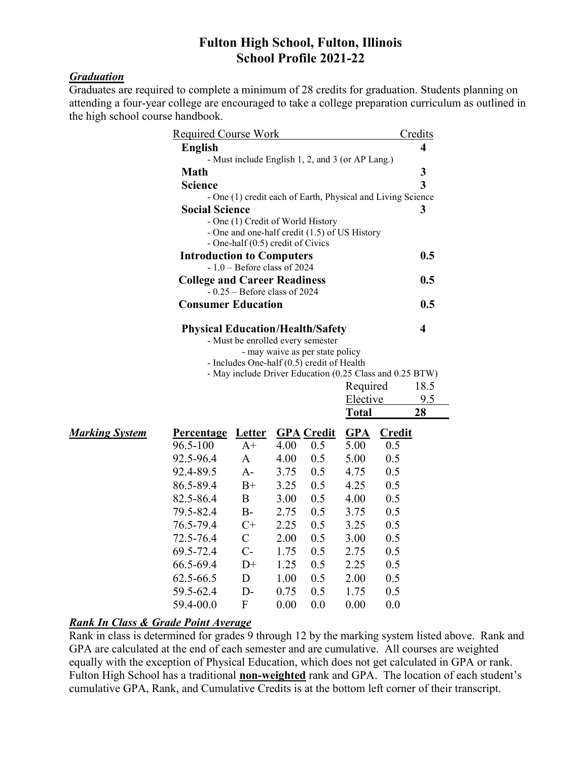# Fulton High School, Fulton, Illinois School Profile 2021-22

# **Graduation**

Graduates are required to complete a minimum of 28 credits for graduation. Students planning on attending a four-year college are encouraged to take a college preparation curriculum as outlined in the high school course handbook.

| <b>Required Course Work</b>             |                                     |                                                                                    |      |                   |              | Credits       |     |  |
|-----------------------------------------|-------------------------------------|------------------------------------------------------------------------------------|------|-------------------|--------------|---------------|-----|--|
|                                         | <b>English</b>                      |                                                                                    |      |                   |              |               | 4   |  |
|                                         |                                     | - Must include English 1, 2, and 3 (or AP Lang.)                                   |      |                   |              |               |     |  |
|                                         | <b>Math</b>                         |                                                                                    |      |                   |              |               | 3   |  |
|                                         | <b>Science</b>                      |                                                                                    |      |                   |              |               | 3   |  |
|                                         |                                     | - One (1) credit each of Earth, Physical and Living Science                        |      |                   |              |               |     |  |
|                                         | <b>Social Science</b>               |                                                                                    |      |                   |              |               | 3   |  |
|                                         |                                     | - One (1) Credit of World History<br>- One and one-half credit (1.5) of US History |      |                   |              |               |     |  |
|                                         |                                     | - One-half (0.5) credit of Civics                                                  |      |                   |              |               |     |  |
|                                         | <b>Introduction to Computers</b>    |                                                                                    |      |                   |              |               | 0.5 |  |
|                                         |                                     | $-1.0$ – Before class of 2024                                                      |      |                   |              |               |     |  |
|                                         | <b>College and Career Readiness</b> |                                                                                    |      |                   |              |               | 0.5 |  |
| $-0.25$ – Before class of 2024          |                                     |                                                                                    |      |                   |              |               |     |  |
|                                         | <b>Consumer Education</b>           |                                                                                    |      |                   |              |               | 0.5 |  |
| <b>Physical Education/Health/Safety</b> |                                     |                                                                                    |      |                   |              |               | 4   |  |
| - Must be enrolled every semester       |                                     |                                                                                    |      |                   |              |               |     |  |
|                                         |                                     | - may waive as per state policy                                                    |      |                   |              |               |     |  |
|                                         |                                     | - Includes One-half (0.5) credit of Health                                         |      |                   |              |               |     |  |
|                                         |                                     | - May include Driver Education (0.25 Class and 0.25 BTW)                           |      |                   |              |               |     |  |
|                                         |                                     | Required                                                                           |      |                   |              |               |     |  |
|                                         | Elective                            |                                                                                    |      |                   |              | 9.5           |     |  |
|                                         |                                     |                                                                                    |      |                   | <b>Total</b> |               | 28  |  |
| <b>Marking System</b>                   | <b>Percentage</b>                   | <b>Letter</b>                                                                      |      | <b>GPA</b> Credit | <b>GPA</b>   | <b>Credit</b> |     |  |
|                                         | 96.5-100                            | $A+$                                                                               | 4.00 | 0.5               | 5.00         | 0.5           |     |  |
|                                         | 92.5-96.4                           | $\mathsf{A}$                                                                       | 4.00 | 0.5               | 5.00         | 0.5           |     |  |
|                                         | 92.4-89.5                           | $A-$                                                                               | 3.75 | 0.5               | 4.75         | 0.5           |     |  |
|                                         | 86.5-89.4                           | $B+$                                                                               | 3.25 | 0.5               | 4.25         | 0.5           |     |  |
|                                         | 82.5-86.4                           | B                                                                                  | 3.00 | 0.5               | 4.00         | 0.5           |     |  |
|                                         | 79.5-82.4                           | $B-$                                                                               | 2.75 | 0.5               | 3.75         | 0.5           |     |  |
|                                         | 76.5-79.4                           | $C+$                                                                               | 2.25 | 0.5               | 3.25         | 0.5           |     |  |
|                                         | 72.5-76.4                           | $\mathbf C$                                                                        | 2.00 | 0.5               | 3.00         | 0.5           |     |  |
|                                         | 69.5-72.4                           | $C-$                                                                               | 1.75 | 0.5               | 2.75         | 0.5           |     |  |
|                                         | 66.5-69.4                           | $D+$                                                                               | 1.25 | 0.5               | 2.25         | 0.5           |     |  |
|                                         | 62.5-66.5                           | D                                                                                  | 1.00 | 0.5               | 2.00         | 0.5           |     |  |
|                                         | 59.5-62.4                           | $D-$                                                                               | 0.75 | 0.5               | 1.75         | 0.5           |     |  |
|                                         | 59.4-00.0                           | F                                                                                  | 0.00 | 0.0               | 0.00         | 0.0           |     |  |

# Rank In Class & Grade Point Average

Rank in class is determined for grades 9 through 12 by the marking system listed above. Rank and GPA are calculated at the end of each semester and are cumulative. All courses are weighted equally with the exception of Physical Education, which does not get calculated in GPA or rank. Fulton High School has a traditional non-weighted rank and GPA. The location of each student's cumulative GPA, Rank, and Cumulative Credits is at the bottom left corner of their transcript.